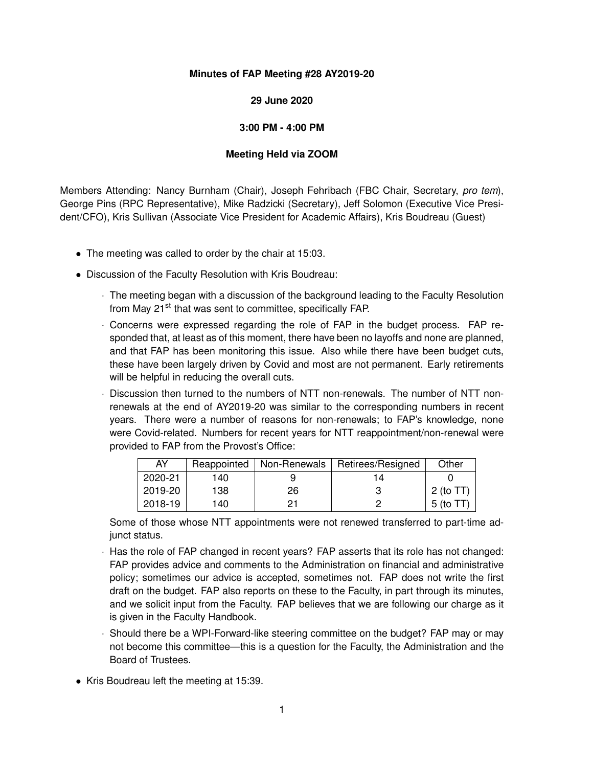## **Minutes of FAP Meeting #28 AY2019-20**

## **29 June 2020**

## **3:00 PM - 4:00 PM**

## **Meeting Held via ZOOM**

Members Attending: Nancy Burnham (Chair), Joseph Fehribach (FBC Chair, Secretary, *pro tem*), George Pins (RPC Representative), Mike Radzicki (Secretary), Jeff Solomon (Executive Vice President/CFO), Kris Sullivan (Associate Vice President for Academic Affairs), Kris Boudreau (Guest)

- The meeting was called to order by the chair at 15:03.
- Discussion of the Faculty Resolution with Kris Boudreau:
	- · The meeting began with a discussion of the background leading to the Faculty Resolution from May 21<sup>st</sup> that was sent to committee, specifically FAP.
	- · Concerns were expressed regarding the role of FAP in the budget process. FAP responded that, at least as of this moment, there have been no layoffs and none are planned, and that FAP has been monitoring this issue. Also while there have been budget cuts, these have been largely driven by Covid and most are not permanent. Early retirements will be helpful in reducing the overall cuts.
	- · Discussion then turned to the numbers of NTT non-renewals. The number of NTT nonrenewals at the end of AY2019-20 was similar to the corresponding numbers in recent years. There were a number of reasons for non-renewals; to FAP's knowledge, none were Covid-related. Numbers for recent years for NTT reappointment/non-renewal were provided to FAP from the Provost's Office:

| AY      | Reappointed | Non-Renewals | Retirees/Resigned | Other        |
|---------|-------------|--------------|-------------------|--------------|
| 2020-21 | 140         |              | 14                |              |
| 2019-20 | 138         | 26           |                   | 2 (to $TT$ ) |
| 2018-19 | 140         | 21           |                   | 5 (to TT)    |

Some of those whose NTT appointments were not renewed transferred to part-time adjunct status.

- · Has the role of FAP changed in recent years? FAP asserts that its role has not changed: FAP provides advice and comments to the Administration on financial and administrative policy; sometimes our advice is accepted, sometimes not. FAP does not write the first draft on the budget. FAP also reports on these to the Faculty, in part through its minutes, and we solicit input from the Faculty. FAP believes that we are following our charge as it is given in the Faculty Handbook.
- · Should there be a WPI-Forward-like steering committee on the budget? FAP may or may not become this committee—this is a question for the Faculty, the Administration and the Board of Trustees.
- Kris Boudreau left the meeting at 15:39.